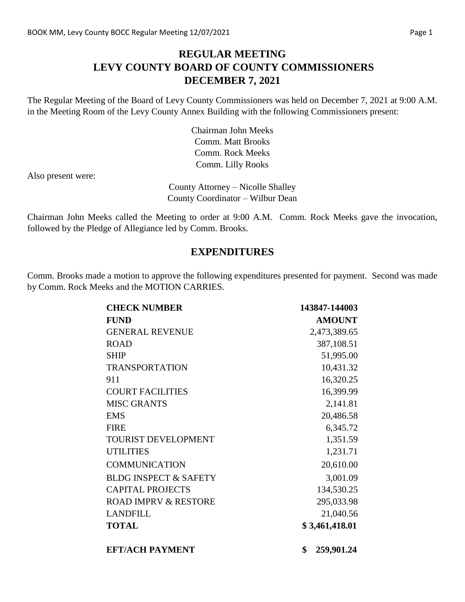### **REGULAR MEETING LEVY COUNTY BOARD OF COUNTY COMMISSIONERS DECEMBER 7, 2021**

The Regular Meeting of the Board of Levy County Commissioners was held on December 7, 2021 at 9:00 A.M. in the Meeting Room of the Levy County Annex Building with the following Commissioners present:

> Chairman John Meeks Comm. Matt Brooks Comm. Rock Meeks Comm. Lilly Rooks

Also present were:

County Attorney – Nicolle Shalley County Coordinator – Wilbur Dean

Chairman John Meeks called the Meeting to order at 9:00 A.M. Comm. Rock Meeks gave the invocation, followed by the Pledge of Allegiance led by Comm. Brooks.

#### **EXPENDITURES**

Comm. Brooks made a motion to approve the following expenditures presented for payment. Second was made by Comm. Rock Meeks and the MOTION CARRIES.

| <b>CHECK NUMBER</b>              | 143847-144003    |
|----------------------------------|------------------|
| <b>FUND</b>                      | <b>AMOUNT</b>    |
| <b>GENERAL REVENUE</b>           | 2,473,389.65     |
| <b>ROAD</b>                      | 387,108.51       |
| <b>SHIP</b>                      | 51,995.00        |
| <b>TRANSPORTATION</b>            | 10,431.32        |
| 911                              | 16,320.25        |
| <b>COURT FACILITIES</b>          | 16,399.99        |
| <b>MISC GRANTS</b>               | 2,141.81         |
| <b>EMS</b>                       | 20,486.58        |
| <b>FIRE</b>                      | 6,345.72         |
| TOURIST DEVELOPMENT              | 1,351.59         |
| <b>UTILITIES</b>                 | 1,231.71         |
| <b>COMMUNICATION</b>             | 20,610.00        |
| <b>BLDG INSPECT &amp; SAFETY</b> | 3,001.09         |
| <b>CAPITAL PROJECTS</b>          | 134,530.25       |
| <b>ROAD IMPRV &amp; RESTORE</b>  | 295,033.98       |
| <b>LANDFILL</b>                  | 21,040.56        |
| <b>TOTAL</b>                     | \$3,461,418.01   |
| <b>EFT/ACH PAYMENT</b>           | \$<br>259,901.24 |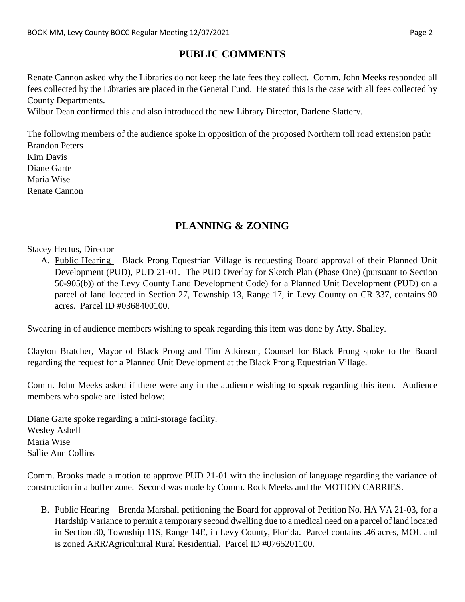# **PUBLIC COMMENTS**

Renate Cannon asked why the Libraries do not keep the late fees they collect. Comm. John Meeks responded all fees collected by the Libraries are placed in the General Fund. He stated this is the case with all fees collected by County Departments.

Wilbur Dean confirmed this and also introduced the new Library Director, Darlene Slattery.

The following members of the audience spoke in opposition of the proposed Northern toll road extension path: Brandon Peters Kim Davis Diane Garte Maria Wise Renate Cannon

# **PLANNING & ZONING**

Stacey Hectus, Director

A. Public Hearing – Black Prong Equestrian Village is requesting Board approval of their Planned Unit Development (PUD), PUD 21-01. The PUD Overlay for Sketch Plan (Phase One) (pursuant to Section 50-905(b)) of the Levy County Land Development Code) for a Planned Unit Development (PUD) on a parcel of land located in Section 27, Township 13, Range 17, in Levy County on CR 337, contains 90 acres. Parcel ID #0368400100.

Swearing in of audience members wishing to speak regarding this item was done by Atty. Shalley.

Clayton Bratcher, Mayor of Black Prong and Tim Atkinson, Counsel for Black Prong spoke to the Board regarding the request for a Planned Unit Development at the Black Prong Equestrian Village.

Comm. John Meeks asked if there were any in the audience wishing to speak regarding this item. Audience members who spoke are listed below:

Diane Garte spoke regarding a mini-storage facility. Wesley Asbell Maria Wise Sallie Ann Collins

Comm. Brooks made a motion to approve PUD 21-01 with the inclusion of language regarding the variance of construction in a buffer zone. Second was made by Comm. Rock Meeks and the MOTION CARRIES.

B. Public Hearing – Brenda Marshall petitioning the Board for approval of Petition No. HA VA 21-03, for a Hardship Variance to permit a temporary second dwelling due to a medical need on a parcel of land located in Section 30, Township 11S, Range 14E, in Levy County, Florida. Parcel contains .46 acres, MOL and is zoned ARR/Agricultural Rural Residential. Parcel ID #0765201100.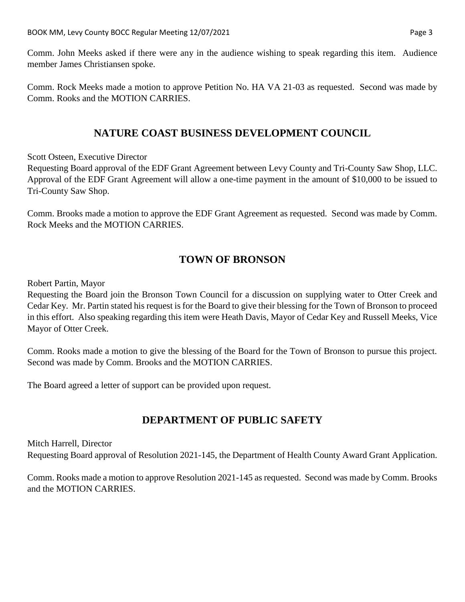Comm. John Meeks asked if there were any in the audience wishing to speak regarding this item. Audience member James Christiansen spoke.

Comm. Rock Meeks made a motion to approve Petition No. HA VA 21-03 as requested. Second was made by Comm. Rooks and the MOTION CARRIES.

### **NATURE COAST BUSINESS DEVELOPMENT COUNCIL**

Scott Osteen, Executive Director

Requesting Board approval of the EDF Grant Agreement between Levy County and Tri-County Saw Shop, LLC. Approval of the EDF Grant Agreement will allow a one-time payment in the amount of \$10,000 to be issued to Tri-County Saw Shop.

Comm. Brooks made a motion to approve the EDF Grant Agreement as requested. Second was made by Comm. Rock Meeks and the MOTION CARRIES.

# **TOWN OF BRONSON**

Robert Partin, Mayor

Requesting the Board join the Bronson Town Council for a discussion on supplying water to Otter Creek and Cedar Key. Mr. Partin stated his request is for the Board to give their blessing for the Town of Bronson to proceed in this effort. Also speaking regarding this item were Heath Davis, Mayor of Cedar Key and Russell Meeks, Vice Mayor of Otter Creek.

Comm. Rooks made a motion to give the blessing of the Board for the Town of Bronson to pursue this project. Second was made by Comm. Brooks and the MOTION CARRIES.

The Board agreed a letter of support can be provided upon request.

# **DEPARTMENT OF PUBLIC SAFETY**

Mitch Harrell, Director Requesting Board approval of Resolution 2021-145, the Department of Health County Award Grant Application.

Comm. Rooks made a motion to approve Resolution 2021-145 as requested. Second was made by Comm. Brooks and the MOTION CARRIES.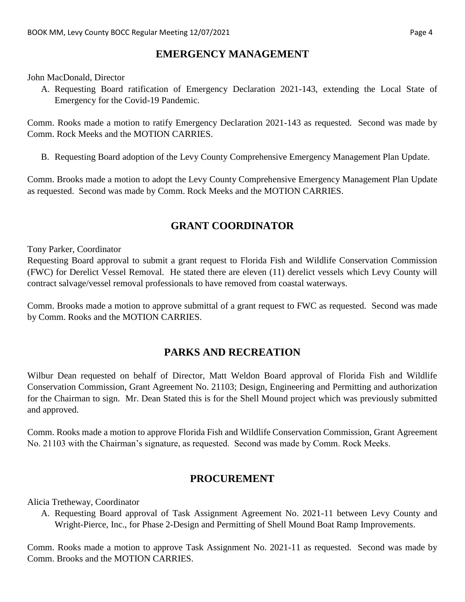### **EMERGENCY MANAGEMENT**

John MacDonald, Director

A. Requesting Board ratification of Emergency Declaration 2021-143, extending the Local State of Emergency for the Covid-19 Pandemic.

Comm. Rooks made a motion to ratify Emergency Declaration 2021-143 as requested. Second was made by Comm. Rock Meeks and the MOTION CARRIES.

B. Requesting Board adoption of the Levy County Comprehensive Emergency Management Plan Update.

Comm. Brooks made a motion to adopt the Levy County Comprehensive Emergency Management Plan Update as requested. Second was made by Comm. Rock Meeks and the MOTION CARRIES.

# **GRANT COORDINATOR**

Tony Parker, Coordinator

Requesting Board approval to submit a grant request to Florida Fish and Wildlife Conservation Commission (FWC) for Derelict Vessel Removal. He stated there are eleven (11) derelict vessels which Levy County will contract salvage/vessel removal professionals to have removed from coastal waterways.

Comm. Brooks made a motion to approve submittal of a grant request to FWC as requested. Second was made by Comm. Rooks and the MOTION CARRIES.

### **PARKS AND RECREATION**

Wilbur Dean requested on behalf of Director, Matt Weldon Board approval of Florida Fish and Wildlife Conservation Commission, Grant Agreement No. 21103; Design, Engineering and Permitting and authorization for the Chairman to sign. Mr. Dean Stated this is for the Shell Mound project which was previously submitted and approved.

Comm. Rooks made a motion to approve Florida Fish and Wildlife Conservation Commission, Grant Agreement No. 21103 with the Chairman's signature, as requested. Second was made by Comm. Rock Meeks.

#### **PROCUREMENT**

Alicia Tretheway, Coordinator

A. Requesting Board approval of Task Assignment Agreement No. 2021-11 between Levy County and Wright-Pierce, Inc., for Phase 2-Design and Permitting of Shell Mound Boat Ramp Improvements.

Comm. Rooks made a motion to approve Task Assignment No. 2021-11 as requested. Second was made by Comm. Brooks and the MOTION CARRIES.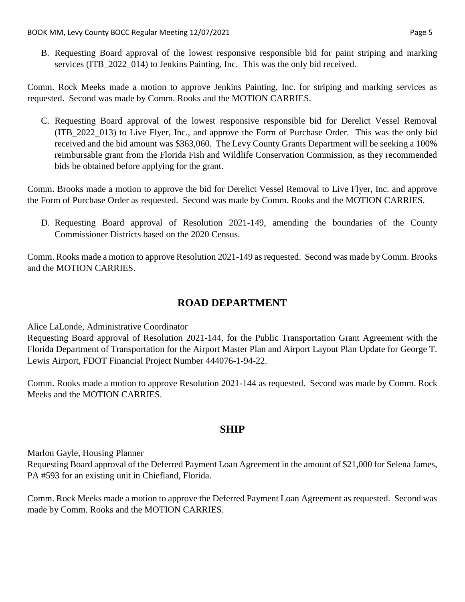B. Requesting Board approval of the lowest responsive responsible bid for paint striping and marking services (ITB 2022 014) to Jenkins Painting, Inc. This was the only bid received.

Comm. Rock Meeks made a motion to approve Jenkins Painting, Inc. for striping and marking services as requested. Second was made by Comm. Rooks and the MOTION CARRIES.

C. Requesting Board approval of the lowest responsive responsible bid for Derelict Vessel Removal (ITB\_2022\_013) to Live Flyer, Inc., and approve the Form of Purchase Order. This was the only bid received and the bid amount was \$363,060. The Levy County Grants Department will be seeking a 100% reimbursable grant from the Florida Fish and Wildlife Conservation Commission, as they recommended bids be obtained before applying for the grant.

Comm. Brooks made a motion to approve the bid for Derelict Vessel Removal to Live Flyer, Inc. and approve the Form of Purchase Order as requested. Second was made by Comm. Rooks and the MOTION CARRIES.

D. Requesting Board approval of Resolution 2021-149, amending the boundaries of the County Commissioner Districts based on the 2020 Census.

Comm. Rooks made a motion to approve Resolution 2021-149 as requested. Second was made by Comm. Brooks and the MOTION CARRIES.

### **ROAD DEPARTMENT**

Alice LaLonde, Administrative Coordinator

Requesting Board approval of Resolution 2021-144, for the Public Transportation Grant Agreement with the Florida Department of Transportation for the Airport Master Plan and Airport Layout Plan Update for George T. Lewis Airport, FDOT Financial Project Number 444076-1-94-22.

Comm. Rooks made a motion to approve Resolution 2021-144 as requested. Second was made by Comm. Rock Meeks and the MOTION CARRIES.

### **SHIP**

Marlon Gayle, Housing Planner

Requesting Board approval of the Deferred Payment Loan Agreement in the amount of \$21,000 for Selena James, PA #593 for an existing unit in Chiefland, Florida.

Comm. Rock Meeks made a motion to approve the Deferred Payment Loan Agreement as requested. Second was made by Comm. Rooks and the MOTION CARRIES.